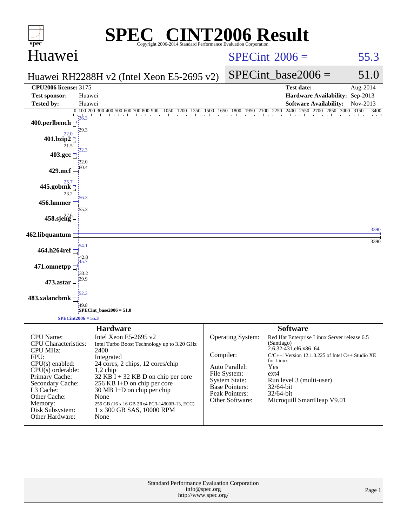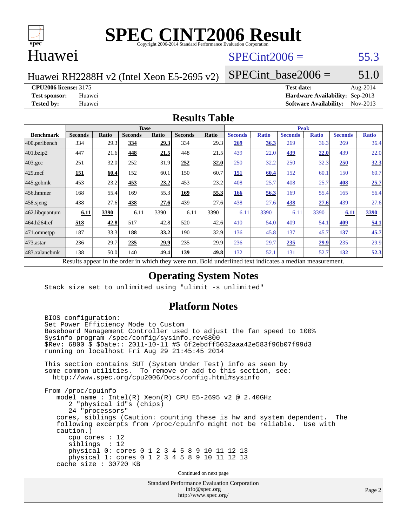

# **[SPEC CINT2006 Result](http://www.spec.org/auto/cpu2006/Docs/result-fields.html#SPECCINT2006Result)**

## Huawei

# $SPECint2006 = 55.3$  $SPECint2006 = 55.3$

Huawei RH2288H v2 (Intel Xeon E5-2695 v2)

SPECint base2006 =  $51.0$ 

**[CPU2006 license:](http://www.spec.org/auto/cpu2006/Docs/result-fields.html#CPU2006license)** 3175 **[Test date:](http://www.spec.org/auto/cpu2006/Docs/result-fields.html#Testdate)** Aug-2014

**[Test sponsor:](http://www.spec.org/auto/cpu2006/Docs/result-fields.html#Testsponsor)** Huawei **[Hardware Availability:](http://www.spec.org/auto/cpu2006/Docs/result-fields.html#HardwareAvailability)** Sep-2013 **[Tested by:](http://www.spec.org/auto/cpu2006/Docs/result-fields.html#Testedby)** Huawei **[Software Availability:](http://www.spec.org/auto/cpu2006/Docs/result-fields.html#SoftwareAvailability)** Nov-2013

#### **[Results Table](http://www.spec.org/auto/cpu2006/Docs/result-fields.html#ResultsTable)**

|                                                                                                                 | <b>Base</b>    |              |                |       |                |       | <b>Peak</b>    |              |                |              |                |              |
|-----------------------------------------------------------------------------------------------------------------|----------------|--------------|----------------|-------|----------------|-------|----------------|--------------|----------------|--------------|----------------|--------------|
| <b>Benchmark</b>                                                                                                | <b>Seconds</b> | <b>Ratio</b> | <b>Seconds</b> | Ratio | <b>Seconds</b> | Ratio | <b>Seconds</b> | <b>Ratio</b> | <b>Seconds</b> | <b>Ratio</b> | <b>Seconds</b> | <b>Ratio</b> |
| $ 400$ .perlbench                                                                                               | 334            | 29.3         | 334            | 29.3  | 334            | 29.3  | 269            | 36.3         | 269            | 36.3         | 269            | 36.4         |
| 401.bzip2                                                                                                       | 447            | 21.6         | 448            | 21.5  | 448            | 21.5  | 439            | 22.0         | 439            | 22.0         | 439            | 22.0         |
| $403.\mathrm{gcc}$                                                                                              | 251            | 32.0         | 252            | 31.9  | 252            | 32.0  | 250            | 32.2         | 250            | 32.3         | <b>250</b>     | 32.3         |
| $429$ .mcf                                                                                                      | <u>151</u>     | 60.4         | 152            | 60.1  | 150            | 60.7  | <b>151</b>     | 60.4         | 152            | 60.1         | 150            | 60.7         |
| $445$ .gobmk                                                                                                    | 453            | 23.2         | 453            | 23.2  | 453            | 23.2  | 408            | 25.7         | 408            | 25.7         | 408            | 25.7         |
| $456.$ hmmer                                                                                                    | 168            | 55.4         | 169            | 55.3  | 169            | 55.3  | 166            | 56.3         | 169            | 55.4         | 165            | 56.4         |
| $458$ .sjeng                                                                                                    | 438            | 27.6         | 438            | 27.6  | 439            | 27.6  | 438            | 27.6         | <u>438</u>     | 27.6         | 439            | 27.6         |
| 462.libquantum                                                                                                  | 6.11           | 3390         | 6.11           | 3390  | 6.11           | 3390  | 6.11           | 3390         | 6.11           | 3390         | 6.11           | 3390         |
| 464.h264ref                                                                                                     | 518            | 42.8         | 517            | 42.8  | 520            | 42.6  | 410            | 54.0         | 409            | 54.1         | 409            | 54.1         |
| 471.omnetpp                                                                                                     | 187            | 33.3         | 188            | 33.2  | 190            | 32.9  | 136            | 45.8         | 137            | 45.7         | 137            | 45.7         |
| $473.$ astar                                                                                                    | 236            | 29.7         | 235            | 29.9  | 235            | 29.9  | 236            | 29.7         | 235            | 29.9         | 235            | 29.9         |
| 483.xalancbmk                                                                                                   | 138            | 50.0         | 140            | 49.4  | 139            | 49.8  | 132            | 52.1         | 131            | 52.7         | 132            | 52.3         |
| <b>Dold</b> underlined text indicates a modian measurement<br>Decute ennear in the order in which thay were min |                |              |                |       |                |       |                |              |                |              |                |              |

Results appear in the [order in which they were run.](http://www.spec.org/auto/cpu2006/Docs/result-fields.html#RunOrder) Bold underlined text [indicates a median measurement.](http://www.spec.org/auto/cpu2006/Docs/result-fields.html#Median)

### **[Operating System Notes](http://www.spec.org/auto/cpu2006/Docs/result-fields.html#OperatingSystemNotes)**

Stack size set to unlimited using "ulimit -s unlimited"

### **[Platform Notes](http://www.spec.org/auto/cpu2006/Docs/result-fields.html#PlatformNotes)**

 BIOS configuration: Set Power Efficiency Mode to Custom Baseboard Management Controller used to adjust the fan speed to 100% Sysinfo program /spec/config/sysinfo.rev6800 \$Rev: 6800 \$ \$Date:: 2011-10-11 #\$ 6f2ebdff5032aaa42e583f96b07f99d3 running on localhost Fri Aug 29 21:45:45 2014 This section contains SUT (System Under Test) info as seen by some common utilities. To remove or add to this section, see: <http://www.spec.org/cpu2006/Docs/config.html#sysinfo> From /proc/cpuinfo model name : Intel(R) Xeon(R) CPU E5-2695 v2 @ 2.40GHz 2 "physical id"s (chips) 24 "processors" cores, siblings (Caution: counting these is hw and system dependent. The following excerpts from /proc/cpuinfo might not be reliable. Use with caution.) cpu cores : 12 siblings : 12 physical 0: cores 0 1 2 3 4 5 8 9 10 11 12 13 physical 1: cores 0 1 2 3 4 5 8 9 10 11 12 13 cache size : 30720 KB Continued on next page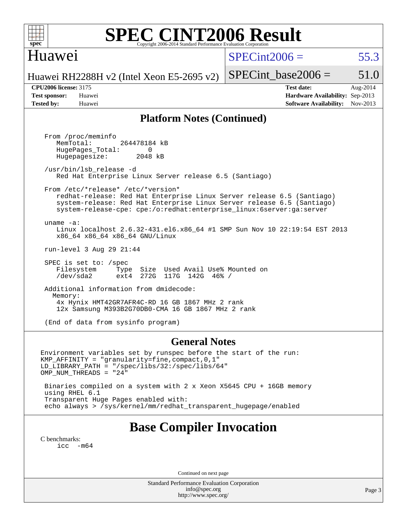

# **[SPEC CINT2006 Result](http://www.spec.org/auto/cpu2006/Docs/result-fields.html#SPECCINT2006Result)**

# Huawei

 $SPECint2006 = 55.3$  $SPECint2006 = 55.3$ 

Huawei RH2288H v2 (Intel Xeon E5-2695 v2)

**[CPU2006 license:](http://www.spec.org/auto/cpu2006/Docs/result-fields.html#CPU2006license)** 3175 **[Test date:](http://www.spec.org/auto/cpu2006/Docs/result-fields.html#Testdate)** Aug-2014 **[Test sponsor:](http://www.spec.org/auto/cpu2006/Docs/result-fields.html#Testsponsor)** Huawei **[Hardware Availability:](http://www.spec.org/auto/cpu2006/Docs/result-fields.html#HardwareAvailability)** Sep-2013 **[Tested by:](http://www.spec.org/auto/cpu2006/Docs/result-fields.html#Testedby)** Huawei **[Software Availability:](http://www.spec.org/auto/cpu2006/Docs/result-fields.html#SoftwareAvailability)** Nov-2013

SPECint base2006 =  $51.0$ 

#### **[Platform Notes \(Continued\)](http://www.spec.org/auto/cpu2006/Docs/result-fields.html#PlatformNotes)**

 From /proc/meminfo MemTotal: 264478184 kB HugePages\_Total: 0<br>Hugepagesize: 2048 kB Hugepagesize: /usr/bin/lsb\_release -d Red Hat Enterprise Linux Server release 6.5 (Santiago) From /etc/\*release\* /etc/\*version\* redhat-release: Red Hat Enterprise Linux Server release 6.5 (Santiago) system-release: Red Hat Enterprise Linux Server release 6.5 (Santiago) system-release-cpe: cpe:/o:redhat:enterprise\_linux:6server:ga:server uname -a: Linux localhost 2.6.32-431.el6.x86\_64 #1 SMP Sun Nov 10 22:19:54 EST 2013 x86\_64 x86\_64 x86\_64 GNU/Linux run-level 3 Aug 29 21:44 SPEC is set to: /spec Filesystem Type Size Used Avail Use% Mounted on /dev/sda2 ext4 272G 117G 142G 46% / Additional information from dmidecode: Memory: 4x Hynix HMT42GR7AFR4C-RD 16 GB 1867 MHz 2 rank 12x Samsung M393B2G70DB0-CMA 16 GB 1867 MHz 2 rank (End of data from sysinfo program)

#### **[General Notes](http://www.spec.org/auto/cpu2006/Docs/result-fields.html#GeneralNotes)**

Environment variables set by runspec before the start of the run: KMP\_AFFINITY = "granularity=fine,compact,0,1" LD\_LIBRARY\_PATH = "/spec/libs/32:/spec/libs/64" OMP\_NUM\_THREADS = "24" Binaries compiled on a system with 2 x Xeon X5645 CPU + 16GB memory using RHEL 6.1

 Transparent Huge Pages enabled with: echo always > /sys/kernel/mm/redhat\_transparent\_hugepage/enabled

# **[Base Compiler Invocation](http://www.spec.org/auto/cpu2006/Docs/result-fields.html#BaseCompilerInvocation)**

[C benchmarks](http://www.spec.org/auto/cpu2006/Docs/result-fields.html#Cbenchmarks):  $\text{icc}$   $-\text{m64}$ 

Continued on next page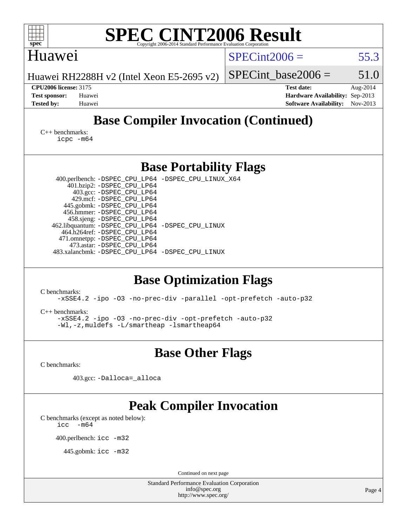| <b>SPEC CINT2006 Result</b><br>spec <sup>®</sup><br>Copyright 2006-2014 Standard Performance Evaluation Corporation                                                                                                                                                                                                                                                                                                                                                                                                                                                                                                                                                                               |                                                                                                               |  |  |  |  |  |
|---------------------------------------------------------------------------------------------------------------------------------------------------------------------------------------------------------------------------------------------------------------------------------------------------------------------------------------------------------------------------------------------------------------------------------------------------------------------------------------------------------------------------------------------------------------------------------------------------------------------------------------------------------------------------------------------------|---------------------------------------------------------------------------------------------------------------|--|--|--|--|--|
| Huawei                                                                                                                                                                                                                                                                                                                                                                                                                                                                                                                                                                                                                                                                                            | $SPECint2006 =$<br>55.3                                                                                       |  |  |  |  |  |
| Huawei RH2288H v2 (Intel Xeon E5-2695 v2)                                                                                                                                                                                                                                                                                                                                                                                                                                                                                                                                                                                                                                                         | 51.0<br>$SPECint base2006 =$                                                                                  |  |  |  |  |  |
| <b>CPU2006 license: 3175</b><br><b>Test sponsor:</b><br>Huawei<br><b>Tested by:</b><br>Huawei                                                                                                                                                                                                                                                                                                                                                                                                                                                                                                                                                                                                     | <b>Test date:</b><br>Aug-2014<br>Hardware Availability: Sep-2013<br><b>Software Availability:</b><br>Nov-2013 |  |  |  |  |  |
| <b>Base Compiler Invocation (Continued)</b>                                                                                                                                                                                                                                                                                                                                                                                                                                                                                                                                                                                                                                                       |                                                                                                               |  |  |  |  |  |
| $C_{++}$ benchmarks:<br>$icpc$ $-m64$                                                                                                                                                                                                                                                                                                                                                                                                                                                                                                                                                                                                                                                             |                                                                                                               |  |  |  |  |  |
| <b>Base Portability Flags</b>                                                                                                                                                                                                                                                                                                                                                                                                                                                                                                                                                                                                                                                                     |                                                                                                               |  |  |  |  |  |
| 400.perlbench: -DSPEC_CPU_LP64 -DSPEC_CPU_LINUX_X64<br>401.bzip2: -DSPEC_CPU_LP64<br>403.gcc: -DSPEC_CPU_LP64<br>429.mcf: -DSPEC_CPU_LP64<br>445.gobmk: -DSPEC_CPU_LP64<br>456.hmmer: -DSPEC_CPU_LP64<br>458.sjeng: -DSPEC_CPU_LP64<br>462.libquantum: - DSPEC_CPU_LP64 - DSPEC_CPU_LINUX<br>464.h264ref: -DSPEC_CPU_LP64<br>471.omnetpp: -DSPEC_CPU_LP64<br>473.astar: -DSPEC_CPU_LP64<br>483.xalancbmk: -DSPEC_CPU_LP64 -DSPEC_CPU_LINUX<br><b>Base Optimization Flags</b><br>C benchmarks:<br>-xSSE4.2 -ipo -03 -no-prec-div -parallel -opt-prefetch -auto-p32<br>$C_{++}$ benchmarks:<br>-xSSE4.2 -ipo -03 -no-prec-div -opt-prefetch -auto-p32<br>-Wl,-z, muldefs -L/smartheap -lsmartheap64 |                                                                                                               |  |  |  |  |  |
| <b>Base Other Flags</b>                                                                                                                                                                                                                                                                                                                                                                                                                                                                                                                                                                                                                                                                           |                                                                                                               |  |  |  |  |  |
| C benchmarks:                                                                                                                                                                                                                                                                                                                                                                                                                                                                                                                                                                                                                                                                                     |                                                                                                               |  |  |  |  |  |
| 403.gcc: -Dalloca=_alloca                                                                                                                                                                                                                                                                                                                                                                                                                                                                                                                                                                                                                                                                         |                                                                                                               |  |  |  |  |  |
| <b>Peak Compiler Invocation</b><br>C benchmarks (except as noted below):<br>$-m64$<br>icc<br>400.perlbench: icc -m32<br>445.gobmk: icc -m32                                                                                                                                                                                                                                                                                                                                                                                                                                                                                                                                                       |                                                                                                               |  |  |  |  |  |
| Continued on next page<br>Standard Performance Evaluation Corporation                                                                                                                                                                                                                                                                                                                                                                                                                                                                                                                                                                                                                             |                                                                                                               |  |  |  |  |  |
| info@spec.org<br>http://www.spec.org/                                                                                                                                                                                                                                                                                                                                                                                                                                                                                                                                                                                                                                                             | Page 4                                                                                                        |  |  |  |  |  |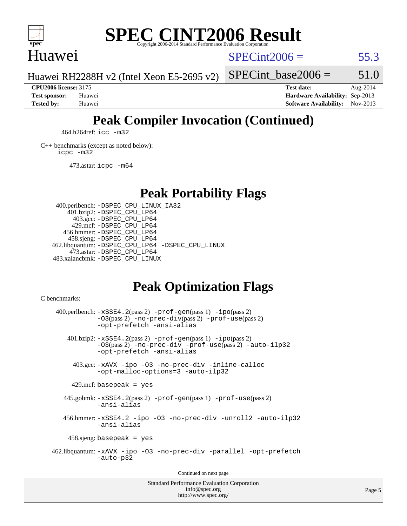

# **[SPEC CINT2006 Result](http://www.spec.org/auto/cpu2006/Docs/result-fields.html#SPECCINT2006Result)**

## Huawei

 $SPECint2006 = 55.3$  $SPECint2006 = 55.3$ 

SPECint base2006 =  $51.0$ 

Huawei RH2288H v2 (Intel Xeon E5-2695 v2)

**[CPU2006 license:](http://www.spec.org/auto/cpu2006/Docs/result-fields.html#CPU2006license)** 3175 **[Test date:](http://www.spec.org/auto/cpu2006/Docs/result-fields.html#Testdate)** Aug-2014 **[Test sponsor:](http://www.spec.org/auto/cpu2006/Docs/result-fields.html#Testsponsor)** Huawei **[Hardware Availability:](http://www.spec.org/auto/cpu2006/Docs/result-fields.html#HardwareAvailability)** Sep-2013 **[Tested by:](http://www.spec.org/auto/cpu2006/Docs/result-fields.html#Testedby)** Huawei **[Software Availability:](http://www.spec.org/auto/cpu2006/Docs/result-fields.html#SoftwareAvailability)** Nov-2013

# **[Peak Compiler Invocation \(Continued\)](http://www.spec.org/auto/cpu2006/Docs/result-fields.html#PeakCompilerInvocation)**

464.h264ref: [icc -m32](http://www.spec.org/cpu2006/results/res2014q3/cpu2006-20140831-31111.flags.html#user_peakCCLD464_h264ref_intel_icc_a6a621f8d50482236b970c6ac5f55f93)

[C++ benchmarks \(except as noted below\):](http://www.spec.org/auto/cpu2006/Docs/result-fields.html#CXXbenchmarksexceptasnotedbelow) [icpc -m32](http://www.spec.org/cpu2006/results/res2014q3/cpu2006-20140831-31111.flags.html#user_CXXpeak_intel_icpc_4e5a5ef1a53fd332b3c49e69c3330699)

473.astar: [icpc -m64](http://www.spec.org/cpu2006/results/res2014q3/cpu2006-20140831-31111.flags.html#user_peakCXXLD473_astar_intel_icpc_64bit_fc66a5337ce925472a5c54ad6a0de310)

**[Peak Portability Flags](http://www.spec.org/auto/cpu2006/Docs/result-fields.html#PeakPortabilityFlags)**

 400.perlbench: [-DSPEC\\_CPU\\_LINUX\\_IA32](http://www.spec.org/cpu2006/results/res2014q3/cpu2006-20140831-31111.flags.html#b400.perlbench_peakCPORTABILITY_DSPEC_CPU_LINUX_IA32) 401.bzip2: [-DSPEC\\_CPU\\_LP64](http://www.spec.org/cpu2006/results/res2014q3/cpu2006-20140831-31111.flags.html#suite_peakPORTABILITY401_bzip2_DSPEC_CPU_LP64) 403.gcc: [-DSPEC\\_CPU\\_LP64](http://www.spec.org/cpu2006/results/res2014q3/cpu2006-20140831-31111.flags.html#suite_peakPORTABILITY403_gcc_DSPEC_CPU_LP64) 429.mcf: [-DSPEC\\_CPU\\_LP64](http://www.spec.org/cpu2006/results/res2014q3/cpu2006-20140831-31111.flags.html#suite_peakPORTABILITY429_mcf_DSPEC_CPU_LP64) 456.hmmer: [-DSPEC\\_CPU\\_LP64](http://www.spec.org/cpu2006/results/res2014q3/cpu2006-20140831-31111.flags.html#suite_peakPORTABILITY456_hmmer_DSPEC_CPU_LP64) 458.sjeng: [-DSPEC\\_CPU\\_LP64](http://www.spec.org/cpu2006/results/res2014q3/cpu2006-20140831-31111.flags.html#suite_peakPORTABILITY458_sjeng_DSPEC_CPU_LP64) 462.libquantum: [-DSPEC\\_CPU\\_LP64](http://www.spec.org/cpu2006/results/res2014q3/cpu2006-20140831-31111.flags.html#suite_peakPORTABILITY462_libquantum_DSPEC_CPU_LP64) [-DSPEC\\_CPU\\_LINUX](http://www.spec.org/cpu2006/results/res2014q3/cpu2006-20140831-31111.flags.html#b462.libquantum_peakCPORTABILITY_DSPEC_CPU_LINUX) 473.astar: [-DSPEC\\_CPU\\_LP64](http://www.spec.org/cpu2006/results/res2014q3/cpu2006-20140831-31111.flags.html#suite_peakPORTABILITY473_astar_DSPEC_CPU_LP64) 483.xalancbmk: [-DSPEC\\_CPU\\_LINUX](http://www.spec.org/cpu2006/results/res2014q3/cpu2006-20140831-31111.flags.html#b483.xalancbmk_peakCXXPORTABILITY_DSPEC_CPU_LINUX)

# **[Peak Optimization Flags](http://www.spec.org/auto/cpu2006/Docs/result-fields.html#PeakOptimizationFlags)**

[C benchmarks](http://www.spec.org/auto/cpu2006/Docs/result-fields.html#Cbenchmarks):

 $400.$ perlbench:  $-xSSE4$ .  $2(pass 2)$  -prof-qen(pass 1) [-ipo](http://www.spec.org/cpu2006/results/res2014q3/cpu2006-20140831-31111.flags.html#user_peakPASS2_CFLAGSPASS2_LDCFLAGS400_perlbench_f-ipo)(pass 2) [-O3](http://www.spec.org/cpu2006/results/res2014q3/cpu2006-20140831-31111.flags.html#user_peakPASS2_CFLAGSPASS2_LDCFLAGS400_perlbench_f-O3)(pass 2) [-no-prec-div](http://www.spec.org/cpu2006/results/res2014q3/cpu2006-20140831-31111.flags.html#user_peakPASS2_CFLAGSPASS2_LDCFLAGS400_perlbench_f-no-prec-div)(pass 2) [-prof-use](http://www.spec.org/cpu2006/results/res2014q3/cpu2006-20140831-31111.flags.html#user_peakPASS2_CFLAGSPASS2_LDCFLAGS400_perlbench_prof_use_bccf7792157ff70d64e32fe3e1250b55)(pass 2) [-opt-prefetch](http://www.spec.org/cpu2006/results/res2014q3/cpu2006-20140831-31111.flags.html#user_peakCOPTIMIZE400_perlbench_f-opt-prefetch) [-ansi-alias](http://www.spec.org/cpu2006/results/res2014q3/cpu2006-20140831-31111.flags.html#user_peakCOPTIMIZE400_perlbench_f-ansi-alias) 401.bzip2: [-xSSE4.2](http://www.spec.org/cpu2006/results/res2014q3/cpu2006-20140831-31111.flags.html#user_peakPASS2_CFLAGSPASS2_LDCFLAGS401_bzip2_f-xSSE42_f91528193cf0b216347adb8b939d4107)(pass 2) [-prof-gen](http://www.spec.org/cpu2006/results/res2014q3/cpu2006-20140831-31111.flags.html#user_peakPASS1_CFLAGSPASS1_LDCFLAGS401_bzip2_prof_gen_e43856698f6ca7b7e442dfd80e94a8fc)(pass 1) [-ipo](http://www.spec.org/cpu2006/results/res2014q3/cpu2006-20140831-31111.flags.html#user_peakPASS2_CFLAGSPASS2_LDCFLAGS401_bzip2_f-ipo)(pass 2) [-O3](http://www.spec.org/cpu2006/results/res2014q3/cpu2006-20140831-31111.flags.html#user_peakPASS2_CFLAGSPASS2_LDCFLAGS401_bzip2_f-O3)(pass 2) [-no-prec-div](http://www.spec.org/cpu2006/results/res2014q3/cpu2006-20140831-31111.flags.html#user_peakCOPTIMIZEPASS2_CFLAGSPASS2_LDCFLAGS401_bzip2_f-no-prec-div) [-prof-use](http://www.spec.org/cpu2006/results/res2014q3/cpu2006-20140831-31111.flags.html#user_peakPASS2_CFLAGSPASS2_LDCFLAGS401_bzip2_prof_use_bccf7792157ff70d64e32fe3e1250b55)(pass 2) [-auto-ilp32](http://www.spec.org/cpu2006/results/res2014q3/cpu2006-20140831-31111.flags.html#user_peakCOPTIMIZE401_bzip2_f-auto-ilp32) [-opt-prefetch](http://www.spec.org/cpu2006/results/res2014q3/cpu2006-20140831-31111.flags.html#user_peakCOPTIMIZE401_bzip2_f-opt-prefetch) [-ansi-alias](http://www.spec.org/cpu2006/results/res2014q3/cpu2006-20140831-31111.flags.html#user_peakCOPTIMIZE401_bzip2_f-ansi-alias) 403.gcc: [-xAVX](http://www.spec.org/cpu2006/results/res2014q3/cpu2006-20140831-31111.flags.html#user_peakCOPTIMIZE403_gcc_f-xAVX) [-ipo](http://www.spec.org/cpu2006/results/res2014q3/cpu2006-20140831-31111.flags.html#user_peakCOPTIMIZE403_gcc_f-ipo) [-O3](http://www.spec.org/cpu2006/results/res2014q3/cpu2006-20140831-31111.flags.html#user_peakCOPTIMIZE403_gcc_f-O3) [-no-prec-div](http://www.spec.org/cpu2006/results/res2014q3/cpu2006-20140831-31111.flags.html#user_peakCOPTIMIZE403_gcc_f-no-prec-div) [-inline-calloc](http://www.spec.org/cpu2006/results/res2014q3/cpu2006-20140831-31111.flags.html#user_peakCOPTIMIZE403_gcc_f-inline-calloc) [-opt-malloc-options=3](http://www.spec.org/cpu2006/results/res2014q3/cpu2006-20140831-31111.flags.html#user_peakCOPTIMIZE403_gcc_f-opt-malloc-options_13ab9b803cf986b4ee62f0a5998c2238) [-auto-ilp32](http://www.spec.org/cpu2006/results/res2014q3/cpu2006-20140831-31111.flags.html#user_peakCOPTIMIZE403_gcc_f-auto-ilp32)  $429$ .mcf: basepeak = yes 445.gobmk: [-xSSE4.2](http://www.spec.org/cpu2006/results/res2014q3/cpu2006-20140831-31111.flags.html#user_peakPASS2_CFLAGSPASS2_LDCFLAGS445_gobmk_f-xSSE42_f91528193cf0b216347adb8b939d4107)(pass 2) [-prof-gen](http://www.spec.org/cpu2006/results/res2014q3/cpu2006-20140831-31111.flags.html#user_peakPASS1_CFLAGSPASS1_LDCFLAGS445_gobmk_prof_gen_e43856698f6ca7b7e442dfd80e94a8fc)(pass 1) [-prof-use](http://www.spec.org/cpu2006/results/res2014q3/cpu2006-20140831-31111.flags.html#user_peakPASS2_CFLAGSPASS2_LDCFLAGS445_gobmk_prof_use_bccf7792157ff70d64e32fe3e1250b55)(pass 2) [-ansi-alias](http://www.spec.org/cpu2006/results/res2014q3/cpu2006-20140831-31111.flags.html#user_peakCOPTIMIZE445_gobmk_f-ansi-alias) 456.hmmer: [-xSSE4.2](http://www.spec.org/cpu2006/results/res2014q3/cpu2006-20140831-31111.flags.html#user_peakCOPTIMIZE456_hmmer_f-xSSE42_f91528193cf0b216347adb8b939d4107) [-ipo](http://www.spec.org/cpu2006/results/res2014q3/cpu2006-20140831-31111.flags.html#user_peakCOPTIMIZE456_hmmer_f-ipo) [-O3](http://www.spec.org/cpu2006/results/res2014q3/cpu2006-20140831-31111.flags.html#user_peakCOPTIMIZE456_hmmer_f-O3) [-no-prec-div](http://www.spec.org/cpu2006/results/res2014q3/cpu2006-20140831-31111.flags.html#user_peakCOPTIMIZE456_hmmer_f-no-prec-div) [-unroll2](http://www.spec.org/cpu2006/results/res2014q3/cpu2006-20140831-31111.flags.html#user_peakCOPTIMIZE456_hmmer_f-unroll_784dae83bebfb236979b41d2422d7ec2) [-auto-ilp32](http://www.spec.org/cpu2006/results/res2014q3/cpu2006-20140831-31111.flags.html#user_peakCOPTIMIZE456_hmmer_f-auto-ilp32) [-ansi-alias](http://www.spec.org/cpu2006/results/res2014q3/cpu2006-20140831-31111.flags.html#user_peakCOPTIMIZE456_hmmer_f-ansi-alias) 458.sjeng: basepeak = yes 462.libquantum: [-xAVX](http://www.spec.org/cpu2006/results/res2014q3/cpu2006-20140831-31111.flags.html#user_peakCOPTIMIZE462_libquantum_f-xAVX) [-ipo](http://www.spec.org/cpu2006/results/res2014q3/cpu2006-20140831-31111.flags.html#user_peakCOPTIMIZE462_libquantum_f-ipo) [-O3](http://www.spec.org/cpu2006/results/res2014q3/cpu2006-20140831-31111.flags.html#user_peakCOPTIMIZE462_libquantum_f-O3) [-no-prec-div](http://www.spec.org/cpu2006/results/res2014q3/cpu2006-20140831-31111.flags.html#user_peakCOPTIMIZE462_libquantum_f-no-prec-div) [-parallel](http://www.spec.org/cpu2006/results/res2014q3/cpu2006-20140831-31111.flags.html#user_peakCOPTIMIZE462_libquantum_f-parallel) [-opt-prefetch](http://www.spec.org/cpu2006/results/res2014q3/cpu2006-20140831-31111.flags.html#user_peakCOPTIMIZE462_libquantum_f-opt-prefetch) [-auto-p32](http://www.spec.org/cpu2006/results/res2014q3/cpu2006-20140831-31111.flags.html#user_peakCOPTIMIZE462_libquantum_f-auto-p32) Continued on next page